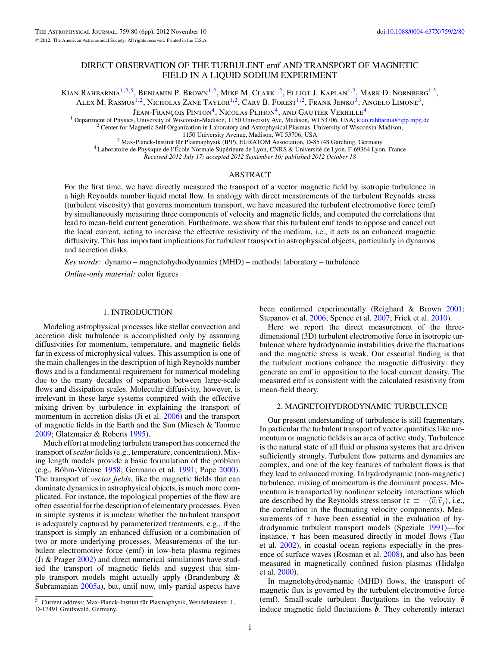# DIRECT OBSERVATION OF THE TURBULENT emf AND TRANSPORT OF MAGNETIC FIELD IN A LIQUID SODIUM EXPERIMENT

Kian Rahbarnia1*,*2*,*5, Benjamin P. Brown1*,*2, Mike M. Clark1*,*2, Elliot J. Kaplan1*,*2, Mark D. Nornberg1*,*2, ALEX M. RASMUS<sup>1,2</sup>, Nicholas Zane Taylor<sup>1,2</sup>, Cary B. Forest<sup>1,2</sup>, Frank Jenko<sup>3</sup>, Angelo Limone<sup>3</sup>,

Jean-François Pinton<sup>4</sup>, Nicolas Plihon<sup>4</sup>, and Gautier Verhille<sup>4</sup>

<sup>1</sup> Department of Physics, University of Wisconsin-Madison, 1150 University Ave, Madison, WI 53706, USA; [kian.rahbarnia@ipp.mpg.de](mailto:kian.rahbarnia@ipp.mpg.de)<br><sup>2</sup> Center for Magnetic Self Organization in Laboratory and Astrophysical Plasmas, Univers

<sup>3</sup> Max-Planck-Institut für Plasmaphysik (IPP), EURATOM Association, D-85748 Garching, Germany<br><sup>4</sup> Laboratoire de Physique de l'École Normale Supérieure de Lyon, CNRS & Université de Lyon, F-69364 Lyon, France

*Received 2012 July 17; accepted 2012 September 16; published 2012 October 18*

# ABSTRACT

For the first time, we have directly measured the transport of a vector magnetic field by isotropic turbulence in a high Reynolds number liquid metal flow. In analogy with direct measurements of the turbulent Reynolds stress (turbulent viscosity) that governs momentum transport, we have measured the turbulent electromotive force (emf) by simultaneously measuring three components of velocity and magnetic fields, and computed the correlations that lead to mean-field current generation. Furthermore, we show that this turbulent emf tends to oppose and cancel out the local current, acting to increase the effective resistivity of the medium, i.e., it acts as an enhanced magnetic diffusivity. This has important implications for turbulent transport in astrophysical objects, particularly in dynamos and accretion disks.

*Key words:* dynamo – magnetohydrodynamics (MHD) – methods: laboratory – turbulence

*Online-only material:* color figures

## 1. INTRODUCTION

Modeling astrophysical processes like stellar convection and accretion disk turbulence is accomplished only by assuming diffusivities for momentum, temperature, and magnetic fields far in excess of microphysical values. This assumption is one of the main challenges in the description of high Reynolds number flows and is a fundamental requirement for numerical modeling due to the many decades of separation between large-scale flows and dissipation scales. Molecular diffusivity, however, is irrelevant in these large systems compared with the effective mixing driven by turbulence in explaining the transport of momentum in accretion disks (Ji et al. [2006\)](#page-4-0) and the transport of magnetic fields in the Earth and the Sun (Miesch & Toomre [2009;](#page-4-0) Glatzmaier & Roberts [1995\)](#page-4-0).

Much effort at modeling turbulent transport has concerned the transport of*scalar* fields (e.g., temperature, concentration). Mixing length models provide a basic formulation of the problem  $(e.g., B\ddot{o}h$ m-Vitense [1958;](#page-4-0) Germano et al. [1991;](#page-4-0) Pope [2000\)](#page-4-0). The transport of *vector fields*, like the magnetic fields that can dominate dynamics in astrophysical objects, is much more complicated. For instance, the topological properties of the flow are often essential for the description of elementary processes. Even in simple systems it is unclear whether the turbulent transport is adequately captured by parameterized treatments, e.g., if the transport is simply an enhanced diffusion or a combination of two or more underlying processes. Measurements of the turbulent electromotive force (emf) in low-beta plasma regimes (Ji & Prager  $2002$ ) and direct numerical simulations have studied the transport of magnetic fields and suggest that simple transport models might actually apply (Brandenburg & Subramanian [2005a\)](#page-4-0), but, until now, only partial aspects have

 $5$  Current address: Max-Planck-Institut für Plasmaphysik, Wendelsteinstr. 1, D-17491 Greifswald, Germany.

been confirmed experimentally (Reighard & Brown [2001;](#page-4-0) Stepanov et al. [2006;](#page-5-0) Spence et al. [2007;](#page-5-0) Frick et al. [2010\)](#page-4-0).

Here we report the direct measurement of the threedimensional (3D) turbulent electromotive force in isotropic turbulence where hydrodynamic instabilities drive the fluctuations and the magnetic stress is weak. Our essential finding is that the turbulent motions enhance the magnetic diffusivity: they generate an emf in opposition to the local current density. The measured emf is consistent with the calculated resistivity from mean-field theory.

#### 2. MAGNETOHYDRODYNAMIC TURBULENCE

Our present understanding of turbulence is still fragmentary. In particular the turbulent transport of vector quantities like momentum or magnetic fields is an area of active study. Turbulence is the natural state of all fluid or plasma systems that are driven sufficiently strongly. Turbulent flow patterns and dynamics are complex, and one of the key features of turbulent flows is that they lead to enhanced mixing. In hydrodynamic (non-magnetic) turbulence, mixing of momentum is the dominant process. Momentum is transported by nonlinear velocity interactions which are described by the Reynolds stress tensor ( $\tau \equiv -\langle \tilde{v}_i \tilde{v}_j \rangle$ , i.e., the correlation in the fluctuating velocity components). Measurements of  $\tau$  have been essential in the evaluation of hydrodynamic turbulent transport models (Speziale [1991\)](#page-5-0)—for instance,  $\tau$  has been measured directly in model flows (Tao et al. [2002\)](#page-5-0), in coastal ocean regions especially in the presence of surface waves (Rosman et al. [2008\)](#page-5-0), and also has been measured in magnetically confined fusion plasmas (Hidalgo et al. [2000\)](#page-4-0).

In magnetohydrodynamic (MHD) flows, the transport of magnetic flux is governed by the turbulent electromotive force (emf). Small-scale turbulent fluctuations in the velocity  $\tilde{v}$ induce magnetic field fluctuations **. They coherently interact**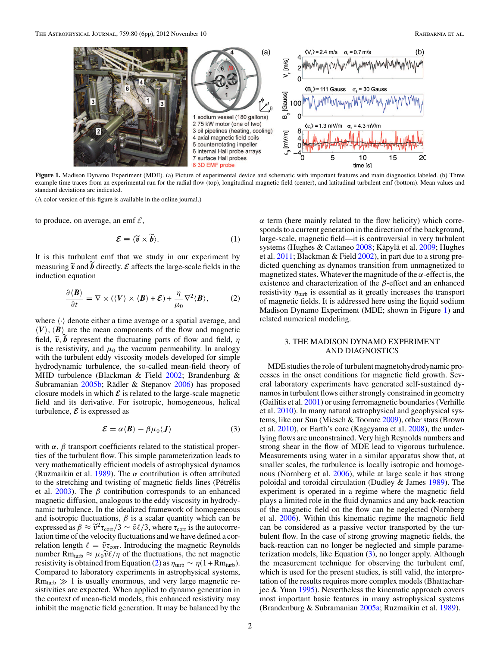<span id="page-1-0"></span>

**Figure 1.** Madison Dynamo Experiment (MDE). (a) Picture of experimental device and schematic with important features and main diagnostics labeled. (b) Three example time traces from an experimental run for the radial flow (top), longitudinal magnetic field (center), and latitudinal turbulent emf (bottom). Mean values and standard deviations are indicated.

(A color version of this figure is available in the online journal.)

to produce, on average, an emf  $\mathcal{E}$ ,

$$
\mathcal{E} \equiv \langle \widetilde{\mathbf{v}} \times \widetilde{\mathbf{b}} \rangle. \tag{1}
$$

It is this turbulent emf that we study in our experiment by measuring  $\tilde{v}$  and *b* directly.  $\mathcal{E}$  affects the large-scale fields in the induction equation

$$
\frac{\partial \langle \mathbf{B} \rangle}{\partial t} = \nabla \times (\langle \mathbf{V} \rangle \times \langle \mathbf{B} \rangle + \mathcal{E}) + \frac{\eta}{\mu_0} \nabla^2 \langle \mathbf{B} \rangle, \tag{2}
$$

where  $\langle \cdot \rangle$  denote either a time average or a spatial average, and  $\langle V \rangle$ ,  $\langle B \rangle$  are the mean components of the flow and magnetic field,  $\tilde{v}$ ,  $b$  represent the fluctuating parts of flow and field,  $\eta$ is the resistivity, and  $\mu_0$  the vacuum permeability. In analogy with the turbulent eddy viscosity models developed for simple hydrodynamic turbulence, the so-called mean-field theory of MHD turbulence (Blackman & Field [2002;](#page-4-0) Brandenburg & Subramanian  $2005b$ ; Rädler & Stepanov  $2006$ ) has proposed closure models in which  $\mathcal E$  is related to the large-scale magnetic field and its derivative. For isotropic, homogeneous, helical turbulence,  $\mathcal E$  is expressed as

$$
\mathcal{E} = \alpha \langle \mathbf{B} \rangle - \beta \mu_0 \langle \mathbf{J} \rangle \tag{3}
$$

with  $\alpha$ ,  $\beta$  transport coefficients related to the statistical properties of the turbulent flow. This simple parameterization leads to very mathematically efficient models of astrophysical dynamos (Ruzmaikin et al. [1989\)](#page-5-0). The *α* contribution is often attributed to the stretching and twisting of magnetic fields lines (Pétrélis et al.  $2003$ ). The  $\beta$  contribution corresponds to an enhanced magnetic diffusion, analogous to the eddy viscosity in hydrodynamic turbulence. In the idealized framework of homogeneous and isotropic fluctuations,  $\beta$  is a scalar quantity which can be expressed as  $\beta \approx \tilde{v}^2 \tau_{\text{corr}}/3 \sim \tilde{v}\ell/3$ , where  $\tau_{\text{corr}}$  is the autocorrelation time of the velocity fluctuations and we have defined a correlation length  $\ell = \tilde{v} \tau_{corr}$ . Introducing the magnetic Reynolds number Rm<sub>turb</sub>  $\approx \mu_0 \tilde{v} \ell / \eta$  of the fluctuations, the net magnetic resistivity is obtained from Equation (2) as  $\eta_{\text{turb}} \sim \eta (1 + R m_{\text{turb}})$ . Compared to laboratory experiments in astrophysical systems,  $Rm_{turb} \gg 1$  is usually enormous, and very large magnetic resistivities are expected. When applied to dynamo generation in the context of mean-field models, this enhanced resistivity may inhibit the magnetic field generation. It may be balanced by the *α* term (here mainly related to the flow helicity) which corresponds to a current generation in the direction of the background, large-scale, magnetic field—it is controversial in very turbulent systems (Hughes & Cattaneo [2008;](#page-4-0) Käpylä et al. [2009;](#page-4-0) Hughes et al. [2011;](#page-4-0) Blackman & Field [2002\)](#page-4-0), in part due to a strong predicted quenching as dynamos transition from unmagnetized to magnetized states. Whatever the magnitude of the *α*-effect is, the existence and characterization of the *β*-effect and an enhanced resistivity  $\eta_{\text{turb}}$  is essential as it greatly increases the transport of magnetic fields. It is addressed here using the liquid sodium Madison Dynamo Experiment (MDE; shown in Figure 1) and related numerical modeling.

### 3. THE MADISON DYNAMO EXPERIMENT AND DIAGNOSTICS

MDE studies the role of turbulent magnetohydrodynamic processes in the onset conditions for magnetic field growth. Several laboratory experiments have generated self-sustained dynamos in turbulent flows either strongly constrained in geometry (Gailitis et al. [2001\)](#page-4-0) or using ferromagnetic boundaries (Verhille et al. [2010\)](#page-5-0). In many natural astrophysical and geophysical systems, like our Sun (Miesch & Toomre [2009\)](#page-4-0), other stars (Brown et al. [2010\)](#page-4-0), or Earth's core (Kageyama et al. [2008\)](#page-4-0), the underlying flows are unconstrained. Very high Reynolds numbers and strong shear in the flow of MDE lead to vigorous turbulence. Measurements using water in a similar apparatus show that, at smaller scales, the turbulence is locally isotropic and homogenous (Nornberg et al. [2006\)](#page-4-0), while at large scale it has strong poloidal and toroidal circulation (Dudley & James [1989\)](#page-4-0). The experiment is operated in a regime where the magnetic field plays a limited role in the fluid dynamics and any back-reaction of the magnetic field on the flow can be neglected (Nornberg et al. [2006\)](#page-4-0). Within this kinematic regime the magnetic field can be considered as a passive vector transported by the turbulent flow. In the case of strong growing magnetic fields, the back-reaction can no longer be neglected and simple parameterization models, like Equation (3), no longer apply. Although the measurement technique for observing the turbulent emf, which is used for the present studies, is still valid, the interpretation of the results requires more complex models (Bhattacharjee & Yuan [1995\)](#page-4-0). Nevertheless the kinematic approach covers most important basic features in many astrophysical systems (Brandenburg & Subramanian [2005a;](#page-4-0) Ruzmaikin et al. [1989\)](#page-5-0).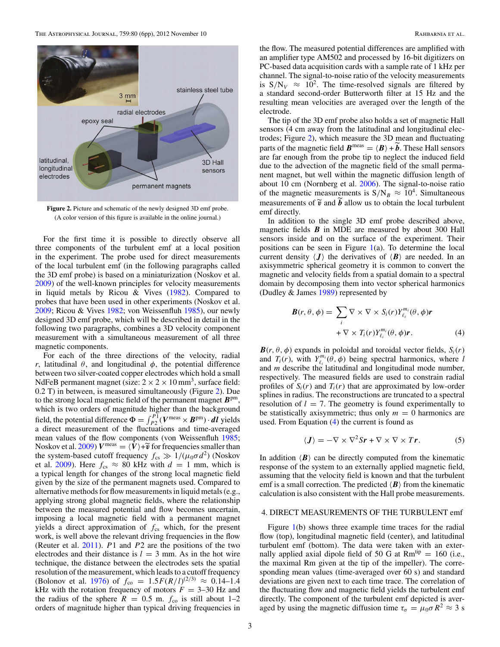<span id="page-2-0"></span>

**Figure 2.** Picture and schematic of the newly designed 3D emf probe. (A color version of this figure is available in the online journal.)

For the first time it is possible to directly observe all three components of the turbulent emf at a local position in the experiment. The probe used for direct measurements of the local turbulent emf (in the following paragraphs called the 3D emf probe) is based on a miniaturization (Noskov et al. [2009\)](#page-4-0) of the well-known principles for velocity measurements in liquid metals by Ricou & Vives [\(1982\)](#page-5-0). Compared to probes that have been used in other experiments (Noskov et al. [2009;](#page-4-0) Ricou & Vives [1982;](#page-5-0) von Weissenfluh [1985\)](#page-5-0), our newly designed 3D emf probe, which will be described in detail in the following two paragraphs, combines a 3D velocity component measurement with a simultaneous measurement of all three magnetic components.

For each of the three directions of the velocity, radial *r*, latitudinal *θ*, and longitudinal  $φ$ , the potential difference between two silver-coated copper electrodes which hold a small NdFeB permanent magnet (size:  $2 \times 2 \times 10$  mm<sup>3</sup>, surface field: 0.2 T) in between, is measured simultaneously (Figure 2). Due to the strong local magnetic field of the permanent magnet  $B<sup>pm</sup>$ , which is two orders of magnitude higher than the background field, the potential difference  $\Phi = \int_{P_2}^{P_1} (V^{\text{meas}} \times B^{\text{pm}}) \cdot dI$  yields a direct measurement of the fluctuations and time-averaged mean values of the flow components (von Weissenfluh [1985;](#page-5-0) Noskov et al. [2009\)](#page-4-0)  $V^{\text{meas}} = \langle V \rangle + \tilde{v}$  for frequencies smaller than the system-based cutoff frequency  $f_{cs} \gg 1/(\mu_0 \sigma d^2)$  (Noskov et al. [2009\)](#page-4-0). Here  $f_{cs} \approx 80$  kHz with  $d = 1$  mm, which is a typical length for changes of the strong local magnetic field given by the size of the permanent magnets used. Compared to alternative methods for flow measurements in liquid metals (e.g., applying strong global magnetic fields, where the relationship between the measured potential and flow becomes uncertain, imposing a local magnetic field with a permanent magnet yields a direct approximation of  $f_{\rm cs}$  which, for the present work, is well above the relevant driving frequencies in the flow (Reuter et al. [2011\)](#page-4-0). *P*1 and *P*2 are the positions of the two electrodes and their distance is  $l = 3$  mm. As in the hot wire technique, the distance between the electrodes sets the spatial resolution of the measurement, which leads to a cutoff frequency (Bolonov et al. [1976\)](#page-4-0) of  $f_{\text{co}} = 1.5F(R/l)^{(2/3)} \approx 0.14-1.4$ kHz with the rotation frequency of motors  $F = 3-30$  Hz and the radius of the sphere  $R = 0.5$  m.  $f_{\text{co}}$  is still about 1–2 orders of magnitude higher than typical driving frequencies in

the flow. The measured potential differences are amplified with an amplifier type AM502 and processed by 16-bit digitizers on PC-based data acquisition cards with a sample rate of 1 kHz per channel. The signal-to-noise ratio of the velocity measurements is  $S/N_V \approx 10^2$ . The time-resolved signals are filtered by a standard second-order Butterworth filter at 15 Hz and the resulting mean velocities are averaged over the length of the electrode.

The tip of the 3D emf probe also holds a set of magnetic Hall sensors (4 cm away from the latitudinal and longitudinal electrodes; Figure 2), which measure the 3D mean and fluctuating parts of the magnetic field  $\boldsymbol{B}^{\text{meas}} = \langle \boldsymbol{B} \rangle + \tilde{\boldsymbol{b}}$ . These Hall sensors are far enough from the probe tip to neglect the induced field due to the advection of the magnetic field of the small permanent magnet, but well within the magnetic diffusion length of about 10 cm (Nornberg et al. [2006\)](#page-4-0). The signal-to-noise ratio of the magnetic measurements is  $S/N_B \approx 10^4$ . Simultaneous measurements of  $\tilde{v}$  and  $b$  allow us to obtain the local turbulent emf directly.

In addition to the single 3D emf probe described above, magnetic fields *B* in MDE are measured by about 300 Hall sensors inside and on the surface of the experiment. Their positions can be seen in Figure  $1(a)$  $1(a)$ . To determine the local current density  $\langle J \rangle$  the derivatives of  $\langle B \rangle$  are needed. In an axisymmetric spherical geometry it is common to convert the magnetic and velocity fields from a spatial domain to a spectral domain by decomposing them into vector spherical harmonics (Dudley & James [1989\)](#page-4-0) represented by

$$
\mathbf{B}(r,\theta,\phi) = \sum_{i} \nabla \times \nabla \times S_i(r) Y_{\ell_i}^{m_i}(\theta,\phi) \mathbf{r} \n+ \nabla \times T_i(r) Y_{\ell_i}^{m_i}(\theta,\phi) \mathbf{r}.
$$
\n(4)

 $\mathbf{B}(r,\theta,\phi)$  expands in poloidal and toroidal vector fields,  $S_i(r)$ and  $T_i(r)$ , with  $Y_{\ell_i}^{m_i}(\theta, \phi)$  being spectral harmonics, where *l* and *m* describe the latitudinal and longitudinal mode number, respectively. The measured fields are used to constrain radial profiles of  $S_i(r)$  and  $T_i(r)$  that are approximated by low-order splines in radius. The reconstructions are truncated to a spectral resolution of  $l = 7$ . The geometry is found experimentally to be statistically axisymmetric; thus only  $m = 0$  harmonics are used. From Equation (4) the current is found as

$$
\langle \mathbf{J} \rangle = -\nabla \times \nabla^2 S \mathbf{r} + \nabla \times \nabla \times T \mathbf{r}.
$$
 (5)

In addition  $\langle B \rangle$  can be directly computed from the kinematic response of the system to an externally applied magnetic field, assuming that the velocity field is known and that the turbulent emf is a small correction. The predicted  $\langle \boldsymbol{B} \rangle$  from the kinematic calculation is also consistent with the Hall probe measurements.

#### 4. DIRECT MEASUREMENTS OF THE TURBULENT emf

Figure [1\(](#page-1-0)b) shows three example time traces for the radial flow (top), longitudinal magnetic field (center), and latitudinal turbulent emf (bottom). The data were taken with an externally applied axial dipole field of 50 G at  $Rm^{tip} = 160$  (i.e., the maximal Rm given at the tip of the impeller). The corresponding mean values (time-averaged over 60 s) and standard deviations are given next to each time trace. The correlation of the fluctuating flow and magnetic field yields the turbulent emf directly. The component of the turbulent emf depicted is averaged by using the magnetic diffusion time  $\tau_{\sigma} = \mu_0 \sigma R^2 \approx 3$  s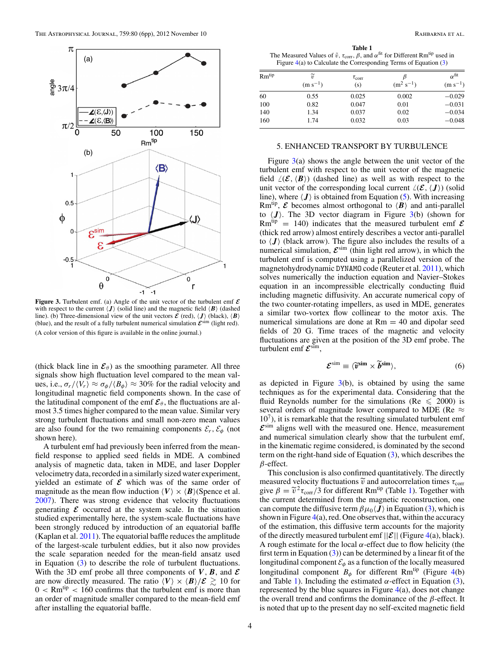<span id="page-3-0"></span>

**Figure 3.** Turbulent emf. (a) Angle of the unit vector of the turbulent emf *E* with respect to the current  $\langle J \rangle$  (solid line) and the magnetic field  $\langle B \rangle$  (dashed line). (b) Three-dimensional view of the unit vectors  $\mathcal{E}$  (red),  $\langle \mathbf{J} \rangle$  (black),  $\langle \mathbf{B} \rangle$ (blue), and the result of a fully turbulent numerical simulation  $\mathcal{E}^{\text{sim}}$  (light red). (A color version of this figure is available in the online journal.)

(thick black line in  $\mathcal{E}_{\theta}$ ) as the smoothing parameter. All three signals show high fluctuation level compared to the mean values, i.e.,  $\sigma_r / \langle V_r \rangle \approx \sigma_\phi / \langle B_\phi \rangle \approx 30\%$  for the radial velocity and longitudinal magnetic field components shown. In the case of the latitudinal component of the emf  $\mathcal{E}_{\theta}$ , the fluctuations are almost 3.5 times higher compared to the mean value. Similar very strong turbulent fluctuations and small non-zero mean values are also found for the two remaining components  $\mathcal{E}_r$ ,  $\mathcal{E}_\phi$  (not shown here).

A turbulent emf had previously been inferred from the meanfield response to applied seed fields in MDE. A combined analysis of magnetic data, taken in MDE, and laser Doppler velocimetry data, recorded in a similarly sized water experiment, yielded an estimate of *E* which was of the same order of magnitude as the mean flow induction  $\langle V \rangle \times \langle B \rangle$  (Spence et al. [2007\)](#page-5-0). There was strong evidence that velocity fluctuations generating  $\mathcal E$  occurred at the system scale. In the situation studied experimentally here, the system-scale fluctuations have been strongly reduced by introduction of an equatorial baffle (Kaplan et al. [2011\)](#page-4-0). The equatorial baffle reduces the amplitude of the largest-scale turbulent eddies, but it also now provides the scale separation needed for the mean-field ansatz used in Equation [\(3\)](#page-1-0) to describe the role of turbulent fluctuations. With the 3D emf probe all three components of  $V$ *, B*, and  $E$ are now directly measured. The ratio  $\langle V \rangle \times \langle B \rangle / \mathcal{E} \gtrsim 10$  for  $0 < Rm^{tip} < 160$  confirms that the turbulent emf is more than an order of magnitude smaller compared to the mean-field emf after installing the equatorial baffle.

**Table 1** The Measured Values of  $\tilde{v}$ ,  $\tau_{\text{corr}}$ ,  $\beta$ , and  $\alpha^{\text{fit}}$  for Different Rm<sup>tip</sup> used in Figure [4\(](#page-4-0)a) to Calculate the Corresponding Terms of Equation [\(3\)](#page-1-0)

| $Rm^{tip}$ | $\widetilde{v}$ | $\tau_{\rm corr}$ |                | $\alpha$ <sup>fit</sup> |
|------------|-----------------|-------------------|----------------|-------------------------|
|            | $(m s^{-1})$    | (s)               | $(m^2 s^{-1})$ | $(m s^{-1})$            |
| 60         | 0.55            | 0.025             | 0.002          | $-0.029$                |
| 100        | 0.82            | 0.047             | 0.01           | $-0.031$                |
| 140        | 1.34            | 0.037             | 0.02           | $-0.034$                |
| 160        | 1.74            | 0.032             | 0.03           | $-0.048$                |

#### 5. ENHANCED TRANSPORT BY TURBULENCE

Figure  $3(a)$  shows the angle between the unit vector of the turbulent emf with respect to the unit vector of the magnetic field  $\angle(\mathcal{E}, {\langle \mathbf{B} \rangle})$  (dashed line) as well as with respect to the unit vector of the corresponding local current  $\angle(\mathcal{E}, \langle \mathbf{J} \rangle)$  (solid line), where  $\langle J \rangle$  is obtained from Equation [\(5\)](#page-2-0). With increasing Rm<sup>tip</sup>,  $\mathcal E$  becomes almost orthogonal to  $\langle B \rangle$  and anti-parallel to  $\langle J \rangle$ . The 3D vector diagram in Figure 3(b) (shown for  $Rm^{tip} = 140$ ) indicates that the measured turbulent emf  $\mathcal E$ (thick red arrow) almost entirely describes a vector anti-parallel to  $\langle J \rangle$  (black arrow). The figure also includes the results of a numerical simulation,  $\mathcal{E}^{\text{sim}}$  (thin light red arrow), in which the turbulent emf is computed using a parallelized version of the magnetohydrodynamic DYNAMO code (Reuter et al. [2011\)](#page-4-0), which solves numerically the induction equation and Navier–Stokes equation in an incompressible electrically conducting fluid including magnetic diffusivity. An accurate numerical copy of the two counter-rotating impellers, as used in MDE, generates a similar two-vortex flow collinear to the motor axis. The numerical simulations are done at  $Rm = 40$  and dipolar seed fields of 20 G. Time traces of the magnetic and velocity fluctuations are given at the position of the 3D emf probe. The turbulent emf *<sup>E</sup>*sim,

$$
\mathcal{E}^{\text{sim}} \equiv \langle \widetilde{\mathbf{v}}^{\text{sim}} \times \widetilde{\mathbf{b}}^{\text{sim}} \rangle, \tag{6}
$$

as depicted in Figure  $3(b)$ , is obtained by using the same techniques as for the experimental data. Considering that the fluid Reynolds number for the simulations (Re  $\leq$  2000) is several orders of magnitude lower compared to MDE (Re  $\approx$  $10<sup>7</sup>$ ), it is remarkable that the resulting simulated turbulent emf  $\mathcal{E}^{\text{sim}}$  aligns well with the measured one. Hence, measurement and numerical simulation clearly show that the turbulent emf, in the kinematic regime considered, is dominated by the second term on the right-hand side of Equation [\(3\)](#page-1-0), which describes the *β*-effect.

This conclusion is also confirmed quantitatively. The directly measured velocity fluctuations  $\tilde{v}$  and autocorrelation times  $\tau_{corr}$ give  $\beta = \tilde{v}^2 \tau_{\text{corr}}/3$  for different Rm<sup>tip</sup> (Table 1). Together with the current determined from the magnetic reconstruction, one can compute the diffusive term  $\beta\mu_0(\mathbf{J})$  in Equation [\(3\)](#page-1-0), which is shown in Figure  $4(a)$  $4(a)$ , red. One observes that, within the accuracy of the estimation, this diffusive term accounts for the majority of the directly measured turbulent emf  $||\mathcal{E}||$  (Figure [4\(](#page-4-0)a), black). A rough estimate for the local  $\alpha$ -effect due to flow helicity (the first term in Equation  $(3)$ ) can be determined by a linear fit of the longitudinal component  $\mathcal{E}_{\phi}$  as a function of the locally measured longitudinal component  $B_{\phi}$  for different Rm<sup>tip</sup> (Figure [4\(](#page-4-0)b) and Table 1). Including the estimated  $\alpha$ -effect in Equation [\(3\)](#page-1-0), represented by the blue squares in Figure  $4(a)$  $4(a)$ , does not change the overall trend and confirms the dominance of the *β*-effect. It is noted that up to the present day no self-excited magnetic field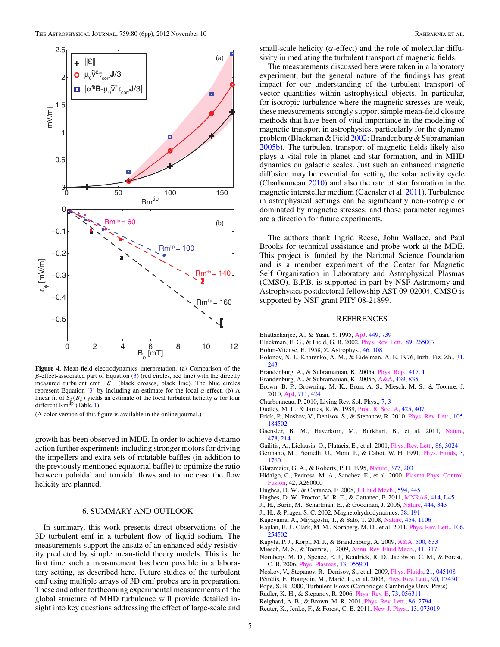<span id="page-4-0"></span>

**Figure 4.** Mean-field electrodynamics interpretation. (a) Comparison of the *β*-effect-associated part of Equation [\(3\)](#page-1-0) (red circles, red line) with the directly measured turbulent emf  $||\mathcal{E}||$  (black crosses, black line). The blue circles represent Equation [\(3\)](#page-1-0) by including an estimate for the local *α*-effect. (b) A linear fit of  $\mathcal{E}_{\phi}(B_{\phi})$  yields an estimate of the local turbulent helicity  $\alpha$  for four different  $Rm<sup>tip</sup>$  (Table [1\)](#page-3-0).

(A color version of this figure is available in the online journal.)

growth has been observed in MDE. In order to achieve dynamo action further experiments including stronger motors for driving the impellers and extra sets of rotatable baffles (in addition to the previously mentioned equatorial baffle) to optimize the ratio between poloidal and toroidal flows and to increase the flow helicity are planned.

## 6. SUMMARY AND OUTLOOK

In summary, this work presents direct observations of the 3D turbulent emf in a turbulent flow of liquid sodium. The measurements support the ansatz of an enhanced eddy resistivity predicted by simple mean-field theory models. This is the first time such a measurement has been possible in a laboratory setting, as described here. Future studies of the turbulent emf using multiple arrays of 3D emf probes are in preparation. These and other forthcoming experimental measurements of the global structure of MHD turbulence will provide detailed insight into key questions addressing the effect of large-scale and

small-scale helicity ( $\alpha$ -effect) and the role of molecular diffusivity in mediating the turbulent transport of magnetic fields.

The measurements discussed here were taken in a laboratory experiment, but the general nature of the findings has great impact for our understanding of the turbulent transport of vector quantities within astrophysical objects. In particular, for isotropic turbulence where the magnetic stresses are weak, these measurements strongly support simple mean-field closure methods that have been of vital importance in the modeling of magnetic transport in astrophysics, particularly for the dynamo problem (Blackman & Field 2002; Brandenburg & Subramanian 2005b). The turbulent transport of magnetic fields likely also plays a vital role in planet and star formation, and in MHD dynamics on galactic scales. Just such an enhanced magnetic diffusion may be essential for setting the solar activity cycle (Charbonneau 2010) and also the rate of star formation in the magnetic interstellar medium (Gaensler et al. 2011). Turbulence in astrophysical settings can be significantly non-isotropic or dominated by magnetic stresses, and those parameter regimes are a direction for future experiments.

The authors thank Ingrid Reese, John Wallace, and Paul Brooks for technical assistance and probe work at the MDE. This project is funded by the National Science Foundation and is a member experiment of the Center for Magnetic Self Organization in Laboratory and Astrophysical Plasmas (CMSO). B.P.B. is supported in part by NSF Astronomy and Astrophysics postdoctoral fellowship AST 09-02004. CMSO is supported by NSF grant PHY 08-21899.

#### REFERENCES

- Bhattacharjee, A., & Yuan, Y. 1995, [ApJ,](http://dx.doi.org/10.1086/176094) [449, 739](http://adsabs.harvard.edu/abs/1995ApJ...449..739B)
- Blackman, E. G., & Field, G. B. 2002, [Phys. Rev. Lett.,](http://dx.doi.org/10.1103/PhysRevLett.89.265007) [89, 265007](http://adsabs.harvard.edu/abs/2002PhRvL..89z5007B)
- Böhm-Vitense, E. 1958, Z. Astrophys., [46, 108](http://adsabs.harvard.edu/abs/1958ZA.....46..108B)
- Bolonov, N. I., Kharenko, A. M., & Eidelman, A. E. 1976, Inzh.-Fiz. Zh., [31,](http://adsabs.harvard.edu/abs/1976InFiZ..31..243B) [243](http://adsabs.harvard.edu/abs/1976InFiZ..31..243B)
- Brandenburg, A., & Subramanian, K. 2005a, [Phys. Rep.,](http://dx.doi.org/10.1016/j.physrep.2005.06.005) [417, 1](http://adsabs.harvard.edu/abs/2005PhR...417....1B)
- Brandenburg, A., & Subramanian, K. 2005b, [A&A,](http://dx.doi.org/10.1051/0004-6361:20053221) [439, 835](http://adsabs.harvard.edu/abs/2005A&A...439..835B)
- Brown, B. P., Browning, M. K., Brun, A. S., Miesch, M. S., & Toomre, J. 2010, [ApJ,](http://dx.doi.org/10.1088/0004-637X/711/1/424) [711, 424](http://adsabs.harvard.edu/abs/2010ApJ...711..424B)
- Charbonneau, P. 2010, Living Rev. Sol. Phys., [7, 3](http://adsabs.harvard.edu/abs/2010LRSP....7....3C)
- Dudley, M. L., & James, R. W. 1989, [Proc. R. Soc. A,](http://dx.doi.org/10.1098/rspa.1989.0112) [425, 407](http://adsabs.harvard.edu/abs/1989RSLPS.425..407D)
- Frick, P., Noskov, V., Denisov, S., & Stepanov, R. 2010, *Phys. Rev. Lett.*, [105,](http://adsabs.harvard.edu/abs/2010PhRvL.105r4502F) [184502](http://adsabs.harvard.edu/abs/2010PhRvL.105r4502F)
- Gaensler, B. M., Haverkorn, M., Burkhart, B., et al. 2011, [Nature,](http://dx.doi.org/10.1038/nature10446) [478, 214](http://adsabs.harvard.edu/abs/2011Natur.478..214G)
- Gailitis, A., Lielausis, O., Platacis, E., et al. 2001, [Phys. Rev. Lett.,](http://dx.doi.org/10.1103/PhysRevLett.86.3024) [86, 3024](http://adsabs.harvard.edu/abs/2001PhRvL..86.3024G)
- Germano, M., Piomelli, U., Moin, P., & Cabot, W. H. 1991, [Phys. Fluids,](http://dx.doi.org/10.1063/1.857955) [3,](http://adsabs.harvard.edu/abs/1991PhFl....3.1760G) [1760](http://adsabs.harvard.edu/abs/1991PhFl....3.1760G)
- Glatzmaier, G. A., & Roberts, P. H. 1995, [Nature,](http://dx.doi.org/10.1038/377203a0) [377, 203](http://adsabs.harvard.edu/abs/1995Natur.377..203G)
- Hidalgo, C., Pedrosa, M. A., Sánchez, E., et al. 2000, [Plasma Phys. Control.](http://dx.doi.org/10.1088/0741-3335/42/5A/316) [Fusion,](http://dx.doi.org/10.1088/0741-3335/42/5A/316) 42, A260000
- Hughes, D. W., & Cattaneo, F. 2008, [J. Fluid Mech.,](http://dx.doi.org/10.1017/S0022112007009214) [594, 445](http://adsabs.harvard.edu/abs/2008JFM...594..445H)
- Hughes, D. W., Proctor, M. R. E., & Cattaneo, F. 2011, [MNRAS,](http://dx.doi.org/10.1111/j.1745-3933.2011.01053.x) [414, L45](http://adsabs.harvard.edu/abs/2011MNRAS.414L..45H)
- Ji, H., Burin, M., Schartman, E., & Goodman, J. 2006, [Nature,](http://dx.doi.org/10.1038/nature05323) [444, 343](http://adsabs.harvard.edu/abs/2006Natur.444..343J)
- Ji, H., & Prager, S. C. 2002, Magnetohydrodynamics, [38, 191](http://adsabs.harvard.edu/abs/2002MHD....38..191J)
- Kageyama, A., Miyagoshi, T., & Sato, T. 2008, [Nature,](http://dx.doi.org/10.1038/nature07227) [454, 1106](http://adsabs.harvard.edu/abs/2008Natur.454.1106K)
- Kaplan, E. J., Clark, M. M., Nornberg, M. D., et al. 2011, [Phys. Rev. Lett.,](http://dx.doi.org/10.1103/PhysRevLett.106.254502) [106,](http://adsabs.harvard.edu/abs/2011PhRvL.106y4502K) [254502](http://adsabs.harvard.edu/abs/2011PhRvL.106y4502K)
- Käpylä, P. J., Korpi, M. J., & Brandenburg, A. 2009, [A&A,](http://dx.doi.org/10.1051/0004-6361/200811498) [500, 633](http://adsabs.harvard.edu/abs/2009A&A...500..633K)
- Miesch, M. S., & Toomre, J. 2009, [Annu. Rev. Fluid Mech.,](http://dx.doi.org/10.1146/annurev.fluid.010908.165215) [41, 317](http://adsabs.harvard.edu/abs/2009AnRFM..41..317M)
- Nornberg, M. D., Spence, E. J., Kendrick, R. D., Jacobson, C. M., & Forest, C. B. 2006, [Phys. Plasmas,](http://dx.doi.org/10.1063/1.2173614) [13, 055901](http://adsabs.harvard.edu/abs/2006PhPl...13e5901N)
- Noskov, V., Stepanov, R., Denisov, S., et al. 2009, [Phys. Fluids,](http://dx.doi.org/10.1063/1.3123529) [21, 045108](http://adsabs.harvard.edu/abs/2009PhFl...21d5108N)
- Pétrélis, F., Bourgoin, M., Marié, L., et al. 2003, *[Phys. Rev. Lett.,](http://dx.doi.org/10.1103/PhysRevLett.90.174501) [90, 174501](http://adsabs.harvard.edu/abs/2003PhRvL..90q4501P)*
- Pope, S. B. 2000, Turbulent Flows (Cambridge: Cambridge Univ. Press)
- Rädler, K.-H., & Stepanov, R. 2006, *[Phys. Rev. E,](http://dx.doi.org/10.1103/PhysRevE.73.056311) [73, 056311](http://adsabs.harvard.edu/abs/2006PhRvE..73e6311R)*
- Reighard, A. B., & Brown, M. R. 2001, [Phys. Rev. Lett.,](http://dx.doi.org/10.1103/PhysRevLett.86.2794) [86, 2794](http://adsabs.harvard.edu/abs/2001PhRvL..86.2794R)
- Reuter, K., Jenko, F., & Forest, C. B. 2011, [New J. Phys.,](http://dx.doi.org/10.1088/1367-2630/13/7/073019) [13, 073019](http://adsabs.harvard.edu/abs/2011NJPh...13g3019R)